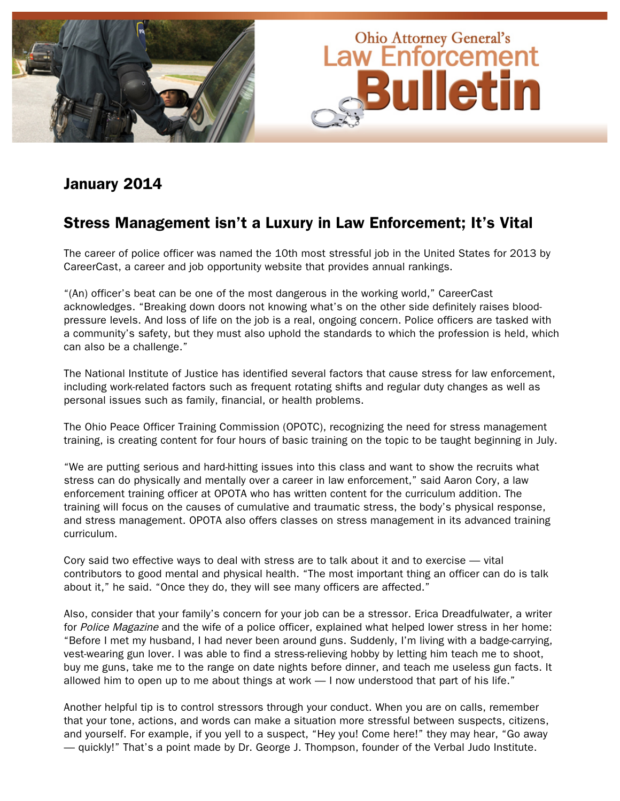

### January 2014

## Stress Management isn't a Luxury in Law Enforcement; It's Vital

The career of police officer was named the 10th most stressful job in the United States for 2013 by CareerCast, a career and job opportunity website that provides annual rankings.

"(An) officer's beat can be one of the most dangerous in the working world," CareerCast acknowledges. "Breaking down doors not knowing what's on the other side definitely raises bloodpressure levels. And loss of life on the job is a real, ongoing concern. Police officers are tasked with a community's safety, but they must also uphold the standards to which the profession is held, which can also be a challenge."

The National Institute of Justice has identified several factors that cause stress for law enforcement, including work-related factors such as frequent rotating shifts and regular duty changes as well as personal issues such as family, financial, or health problems.

The Ohio Peace Officer Training Commission (OPOTC), recognizing the need for stress management training, is creating content for four hours of basic training on the topic to be taught beginning in July.

"We are putting serious and hard-hitting issues into this class and want to show the recruits what stress can do physically and mentally over a career in law enforcement," said Aaron Cory, a law enforcement training officer at OPOTA who has written content for the curriculum addition. The training will focus on the causes of cumulative and traumatic stress, the body's physical response, and stress management. OPOTA also offers classes on stress management in its advanced training curriculum.

Cory said two effective ways to deal with stress are to talk about it and to exercise — vital contributors to good mental and physical health. "The most important thing an officer can do is talk about it," he said. "Once they do, they will see many officers are affected."

Also, consider that your family's concern for your job can be a stressor. Erica Dreadfulwater, a writer for Police Magazine and the wife of a police officer, explained what helped lower stress in her home: "Before I met my husband, I had never been around guns. Suddenly, I'm living with a badge-carrying, vest-wearing gun lover. I was able to find a stress-relieving hobby by letting him teach me to shoot, buy me guns, take me to the range on date nights before dinner, and teach me useless gun facts. It allowed him to open up to me about things at work — I now understood that part of his life."

Another helpful tip is to control stressors through your conduct. When you are on calls, remember that your tone, actions, and words can make a situation more stressful between suspects, citizens, and yourself. For example, if you yell to a suspect, "Hey you! Come here!" they may hear, "Go away — quickly!" That's a point made by Dr. George J. Thompson, founder of the Verbal Judo Institute.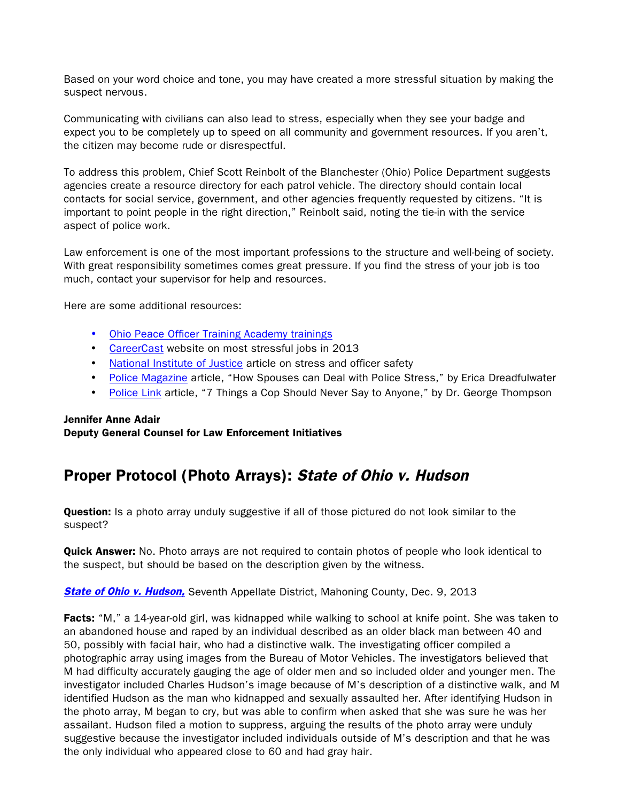Based on your word choice and tone, you may have created a more stressful situation by making the suspect nervous.

Communicating with civilians can also lead to stress, especially when they see your badge and expect you to be completely up to speed on all community and government resources. If you aren't, the citizen may become rude or disrespectful.

To address this problem, Chief Scott Reinbolt of the Blanchester (Ohio) Police Department suggests agencies create a resource directory for each patrol vehicle. The directory should contain local contacts for social service, government, and other agencies frequently requested by citizens. "It is important to point people in the right direction," Reinbolt said, noting the tie-in with the service aspect of police work.

Law enforcement is one of the most important professions to the structure and well-being of society. With great responsibility sometimes comes great pressure. If you find the stress of your job is too much, contact your supervisor for help and resources.

Here are some additional resources:

- [Ohio Peace Officer Training Academy](http://www.ohioattorneygeneral.gov/opota) trainings
- [CareerCast](http://www.careercast.com/jobs-rated/10-most-stressful-jobs-2013) website on most stressful jobs in 2013
- [National Institute of Justice](http://www.nij.gov/topics/law-enforcement/officer-safety/stress-fatigue/Pages/causes.aspx) article on stress and officer safety
- [Police Magazine](http://www.policemag.com/blog/careers/story/2013/09/how-spouses-can-deal-with-police-stress.aspx) article, "How Spouses can Deal with Police Stress," by Erica Dreadfulwater
- [Police Link](http://policelink.monster.com/training/articles/123222-7-things-cops-should-never-say-to-anyone?page=1) article, "7 Things a Cop Should Never Say to Anyone," by Dr. George Thompson

### Jennifer Anne Adair Deputy General Counsel for Law Enforcement Initiatives

## Proper Protocol (Photo Arrays): State of Ohio v. Hudson

**Question:** Is a photo array unduly suggestive if all of those pictured do not look similar to the suspect?

**Quick Answer:** No. Photo arrays are not required to contain photos of people who look identical to the suspect, but should be based on the description given by the witness.

**[State of Ohio v. Hudson,](http://www.sconet.state.oh.us/rod/docs/pdf/7/2013/2013-ohio-5529.pdf)** Seventh Appellate District, Mahoning County, Dec. 9, 2013

Facts: "M," a 14-year-old girl, was kidnapped while walking to school at knife point. She was taken to an abandoned house and raped by an individual described as an older black man between 40 and 50, possibly with facial hair, who had a distinctive walk. The investigating officer compiled a photographic array using images from the Bureau of Motor Vehicles. The investigators believed that M had difficulty accurately gauging the age of older men and so included older and younger men. The investigator included Charles Hudson's image because of M's description of a distinctive walk, and M identified Hudson as the man who kidnapped and sexually assaulted her. After identifying Hudson in the photo array, M began to cry, but was able to confirm when asked that she was sure he was her assailant. Hudson filed a motion to suppress, arguing the results of the photo array were unduly suggestive because the investigator included individuals outside of M's description and that he was the only individual who appeared close to 60 and had gray hair.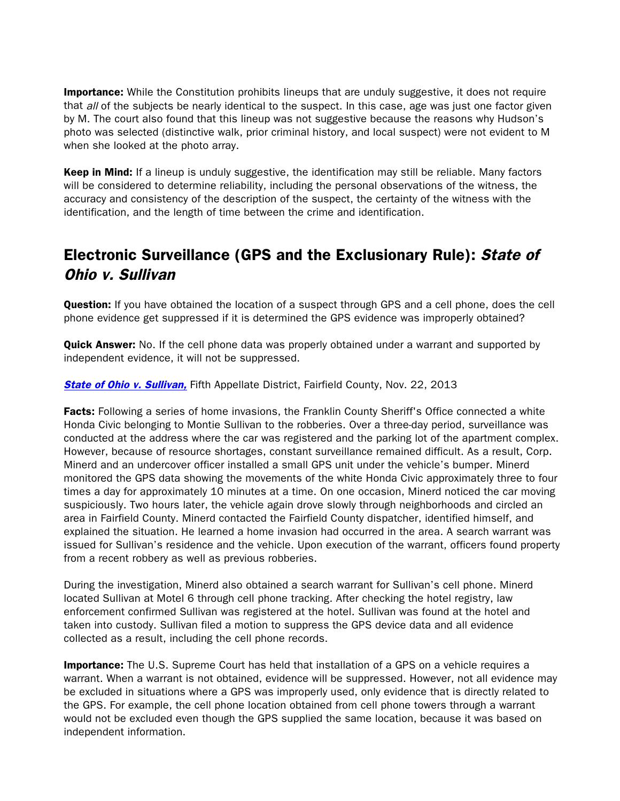**Importance:** While the Constitution prohibits lineups that are unduly suggestive, it does not require that all of the subjects be nearly identical to the suspect. In this case, age was just one factor given by M. The court also found that this lineup was not suggestive because the reasons why Hudson's photo was selected (distinctive walk, prior criminal history, and local suspect) were not evident to M when she looked at the photo array.

Keep in Mind: If a lineup is unduly suggestive, the identification may still be reliable. Many factors will be considered to determine reliability, including the personal observations of the witness, the accuracy and consistency of the description of the suspect, the certainty of the witness with the identification, and the length of time between the crime and identification.

# Electronic Surveillance (GPS and the Exclusionary Rule): State of Ohio v. Sullivan

**Question:** If you have obtained the location of a suspect through GPS and a cell phone, does the cell phone evidence get suppressed if it is determined the GPS evidence was improperly obtained?

**Quick Answer:** No. If the cell phone data was properly obtained under a warrant and supported by independent evidence, it will not be suppressed.

#### **[State of Ohio v. Sullivan,](http://www.sconet.state.oh.us/rod/docs/pdf/5/2013/2013-ohio-5276.pdf)** Fifth Appellate District, Fairfield County, Nov. 22, 2013

Facts: Following a series of home invasions, the Franklin County Sheriff's Office connected a white Honda Civic belonging to Montie Sullivan to the robberies. Over a three-day period, surveillance was conducted at the address where the car was registered and the parking lot of the apartment complex. However, because of resource shortages, constant surveillance remained difficult. As a result, Corp. Minerd and an undercover officer installed a small GPS unit under the vehicle's bumper. Minerd monitored the GPS data showing the movements of the white Honda Civic approximately three to four times a day for approximately 10 minutes at a time. On one occasion, Minerd noticed the car moving suspiciously. Two hours later, the vehicle again drove slowly through neighborhoods and circled an area in Fairfield County. Minerd contacted the Fairfield County dispatcher, identified himself, and explained the situation. He learned a home invasion had occurred in the area. A search warrant was issued for Sullivan's residence and the vehicle. Upon execution of the warrant, officers found property from a recent robbery as well as previous robberies.

During the investigation, Minerd also obtained a search warrant for Sullivan's cell phone. Minerd located Sullivan at Motel 6 through cell phone tracking. After checking the hotel registry, law enforcement confirmed Sullivan was registered at the hotel. Sullivan was found at the hotel and taken into custody. Sullivan filed a motion to suppress the GPS device data and all evidence collected as a result, including the cell phone records.

**Importance:** The U.S. Supreme Court has held that installation of a GPS on a vehicle requires a warrant. When a warrant is not obtained, evidence will be suppressed. However, not all evidence may be excluded in situations where a GPS was improperly used, only evidence that is directly related to the GPS. For example, the cell phone location obtained from cell phone towers through a warrant would not be excluded even though the GPS supplied the same location, because it was based on independent information.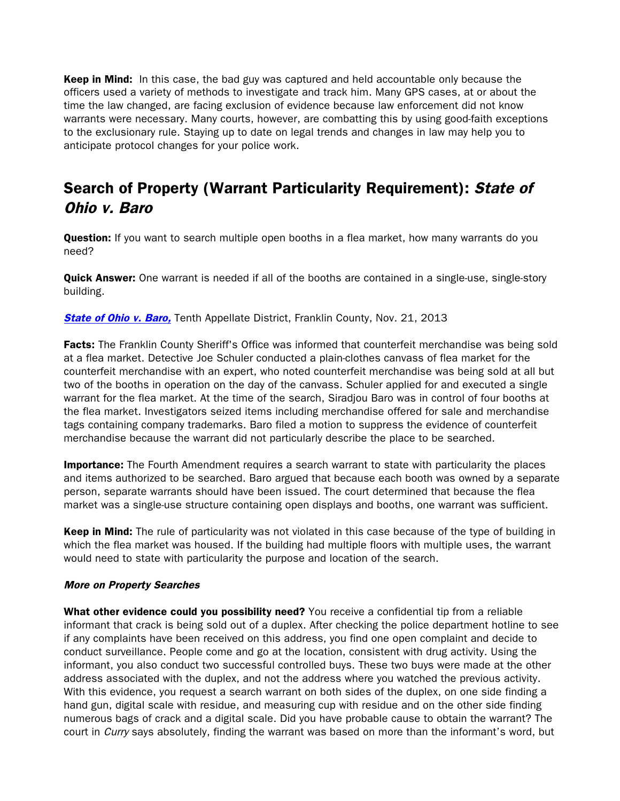**Keep in Mind:** In this case, the bad guy was captured and held accountable only because the officers used a variety of methods to investigate and track him. Many GPS cases, at or about the time the law changed, are facing exclusion of evidence because law enforcement did not know warrants were necessary. Many courts, however, are combatting this by using good-faith exceptions to the exclusionary rule. Staying up to date on legal trends and changes in law may help you to anticipate protocol changes for your police work.

# Search of Property (Warrant Particularity Requirement): State of Ohio v. Baro

Question: If you want to search multiple open booths in a flea market, how many warrants do you need?

**Quick Answer:** One warrant is needed if all of the booths are contained in a single-use, single-story building.

**[State of Ohio v. Baro,](http://www.sconet.state.oh.us/rod/docs/pdf/10/2013/2013-ohio-5139.pdf)** Tenth Appellate District, Franklin County, Nov. 21, 2013

Facts: The Franklin County Sheriff's Office was informed that counterfeit merchandise was being sold at a flea market. Detective Joe Schuler conducted a plain-clothes canvass of flea market for the counterfeit merchandise with an expert, who noted counterfeit merchandise was being sold at all but two of the booths in operation on the day of the canvass. Schuler applied for and executed a single warrant for the flea market. At the time of the search, Siradjou Baro was in control of four booths at the flea market. Investigators seized items including merchandise offered for sale and merchandise tags containing company trademarks. Baro filed a motion to suppress the evidence of counterfeit merchandise because the warrant did not particularly describe the place to be searched.

**Importance:** The Fourth Amendment requires a search warrant to state with particularity the places and items authorized to be searched. Baro argued that because each booth was owned by a separate person, separate warrants should have been issued. The court determined that because the flea market was a single-use structure containing open displays and booths, one warrant was sufficient.

Keep in Mind: The rule of particularity was not violated in this case because of the type of building in which the flea market was housed. If the building had multiple floors with multiple uses, the warrant would need to state with particularity the purpose and location of the search.

#### More on Property Searches

What other evidence could you possibility need? You receive a confidential tip from a reliable informant that crack is being sold out of a duplex. After checking the police department hotline to see if any complaints have been received on this address, you find one open complaint and decide to conduct surveillance. People come and go at the location, consistent with drug activity. Using the informant, you also conduct two successful controlled buys. These two buys were made at the other address associated with the duplex, and not the address where you watched the previous activity. With this evidence, you request a search warrant on both sides of the duplex, on one side finding a hand gun, digital scale with residue, and measuring cup with residue and on the other side finding numerous bags of crack and a digital scale. Did you have probable cause to obtain the warrant? The court in Curry says absolutely, finding the warrant was based on more than the informant's word, but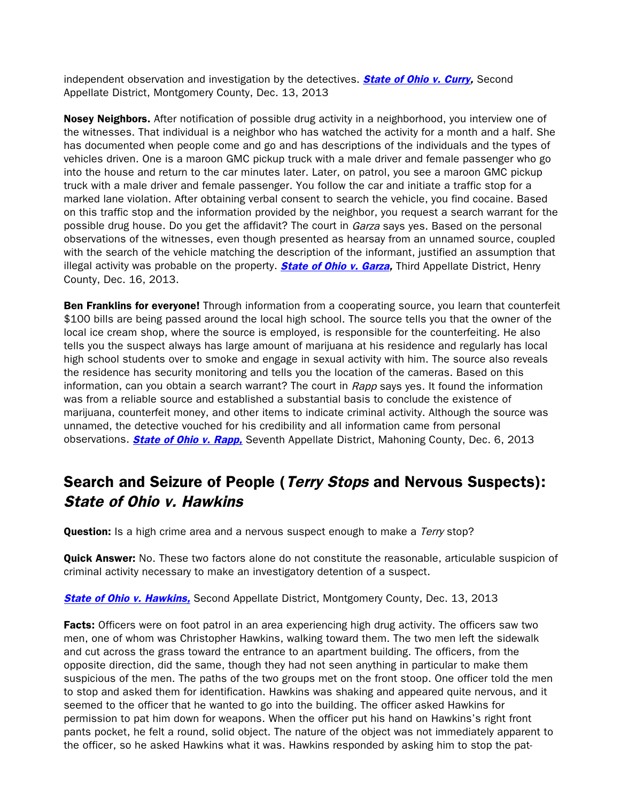independent observation and investigation by the detectives. **[State of Ohio v. Curry,](http://www.sconet.state.oh.us/rod/docs/pdf/2/2013/2013-ohio-5454.pdf)** Second Appellate District, Montgomery County, Dec. 13, 2013

Nosey Neighbors. After notification of possible drug activity in a neighborhood, you interview one of the witnesses. That individual is a neighbor who has watched the activity for a month and a half. She has documented when people come and go and has descriptions of the individuals and the types of vehicles driven. One is a maroon GMC pickup truck with a male driver and female passenger who go into the house and return to the car minutes later. Later, on patrol, you see a maroon GMC pickup truck with a male driver and female passenger. You follow the car and initiate a traffic stop for a marked lane violation. After obtaining verbal consent to search the vehicle, you find cocaine. Based on this traffic stop and the information provided by the neighbor, you request a search warrant for the possible drug house. Do you get the affidavit? The court in Garza says yes. Based on the personal observations of the witnesses, even though presented as hearsay from an unnamed source, coupled with the search of the vehicle matching the description of the informant, justified an assumption that illegal activity was probable on the property. **[State of Ohio v. Garza,](http://www.sconet.state.oh.us/rod/docs/pdf/3/2013/2013-ohio-5492.pdf)** Third Appellate District, Henry County, Dec. 16, 2013.

Ben Franklins for everyone! Through information from a cooperating source, you learn that counterfeit \$100 bills are being passed around the local high school. The source tells you that the owner of the local ice cream shop, where the source is employed, is responsible for the counterfeiting. He also tells you the suspect always has large amount of marijuana at his residence and regularly has local high school students over to smoke and engage in sexual activity with him. The source also reveals the residence has security monitoring and tells you the location of the cameras. Based on this information, can you obtain a search warrant? The court in Rapp says yes. It found the information was from a reliable source and established a substantial basis to conclude the existence of marijuana, counterfeit money, and other items to indicate criminal activity. Although the source was unnamed, the detective vouched for his credibility and all information came from personal observations. **[State of Ohio v. Rapp,](http://www.sconet.state.oh.us/rod/docs/pdf/7/2013/2013-ohio-5384.pdf)** Seventh Appellate District, Mahoning County, Dec. 6, 2013

## Search and Seizure of People (Terry Stops and Nervous Suspects): State of Ohio v. Hawkins

Question: Is a high crime area and a nervous suspect enough to make a Terry stop?

**Quick Answer:** No. These two factors alone do not constitute the reasonable, articulable suspicion of criminal activity necessary to make an investigatory detention of a suspect.

**State of Ohio [v. Hawkins,](http://www.sconet.state.oh.us/rod/docs/pdf/2/2013/2013-ohio-5458.pdf)** Second Appellate District, Montgomery County, Dec. 13, 2013

**Facts:** Officers were on foot patrol in an area experiencing high drug activity. The officers saw two men, one of whom was Christopher Hawkins, walking toward them. The two men left the sidewalk and cut across the grass toward the entrance to an apartment building. The officers, from the opposite direction, did the same, though they had not seen anything in particular to make them suspicious of the men. The paths of the two groups met on the front stoop. One officer told the men to stop and asked them for identification. Hawkins was shaking and appeared quite nervous, and it seemed to the officer that he wanted to go into the building. The officer asked Hawkins for permission to pat him down for weapons. When the officer put his hand on Hawkins's right front pants pocket, he felt a round, solid object. The nature of the object was not immediately apparent to the officer, so he asked Hawkins what it was. Hawkins responded by asking him to stop the pat-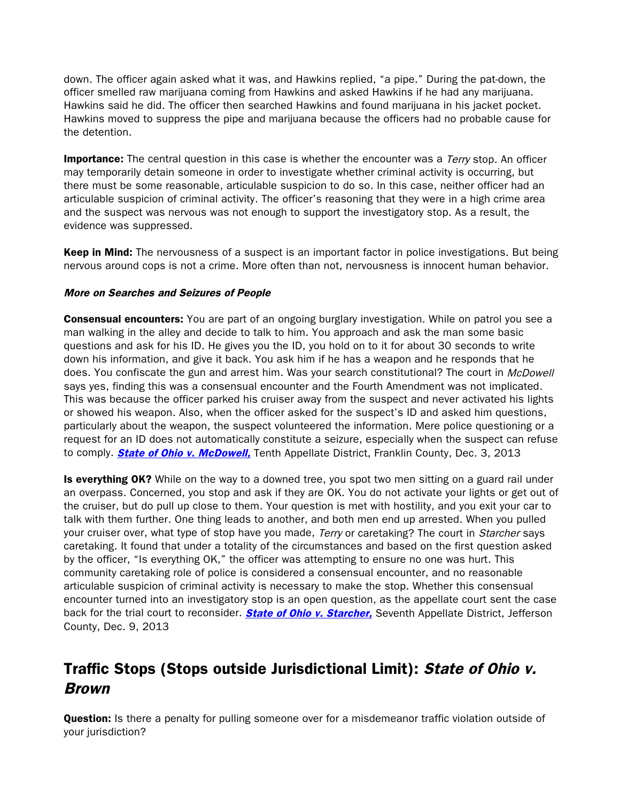down. The officer again asked what it was, and Hawkins replied, "a pipe." During the pat-down, the officer smelled raw marijuana coming from Hawkins and asked Hawkins if he had any marijuana. Hawkins said he did. The officer then searched Hawkins and found marijuana in his jacket pocket. Hawkins moved to suppress the pipe and marijuana because the officers had no probable cause for the detention.

**Importance:** The central question in this case is whether the encounter was a *Terry* stop. An officer may temporarily detain someone in order to investigate whether criminal activity is occurring, but there must be some reasonable, articulable suspicion to do so. In this case, neither officer had an articulable suspicion of criminal activity. The officer's reasoning that they were in a high crime area and the suspect was nervous was not enough to support the investigatory stop. As a result, the evidence was suppressed.

Keep in Mind: The nervousness of a suspect is an important factor in police investigations. But being nervous around cops is not a crime. More often than not, nervousness is innocent human behavior.

### More on Searches and Seizures of People

**Consensual encounters:** You are part of an ongoing burglary investigation. While on patrol you see a man walking in the alley and decide to talk to him. You approach and ask the man some basic questions and ask for his ID. He gives you the ID, you hold on to it for about 30 seconds to write down his information, and give it back. You ask him if he has a weapon and he responds that he does. You confiscate the gun and arrest him. Was your search constitutional? The court in McDowell says yes, finding this was a consensual encounter and the Fourth Amendment was not implicated. This was because the officer parked his cruiser away from the suspect and never activated his lights or showed his weapon. Also, when the officer asked for the suspect's ID and asked him questions, particularly about the weapon, the suspect volunteered the information. Mere police questioning or a request for an ID does not automatically constitute a seizure, especially when the suspect can refuse to comply. **[State of Ohio v. McDowell,](http://www.sconet.state.oh.us/rod/docs/pdf/10/2013/2013-ohio-5300.pdf)** Tenth Appellate District, Franklin County, Dec. 3, 2013

Is everything OK? While on the way to a downed tree, you spot two men sitting on a guard rail under an overpass. Concerned, you stop and ask if they are OK. You do not activate your lights or get out of the cruiser, but do pull up close to them. Your question is met with hostility, and you exit your car to talk with them further. One thing leads to another, and both men end up arrested. When you pulled your cruiser over, what type of stop have you made, Terry or caretaking? The court in Starcher says caretaking. It found that under a totality of the circumstances and based on the first question asked by the officer, "Is everything OK," the officer was attempting to ensure no one was hurt. This community caretaking role of police is considered a consensual encounter, and no reasonable articulable suspicion of criminal activity is necessary to make the stop. Whether this consensual encounter turned into an investigatory stop is an open question, as the appellate court sent the case back for the trial court to reconsider. **State of Ohio v. Starcher**, Seventh Appellate District, Jefferson County, Dec. 9, 2013

## Traffic Stops (Stops outside Jurisdictional Limit): State of Ohio v. Brown

**Question:** Is there a penalty for pulling someone over for a misdemeanor traffic violation outside of your jurisdiction?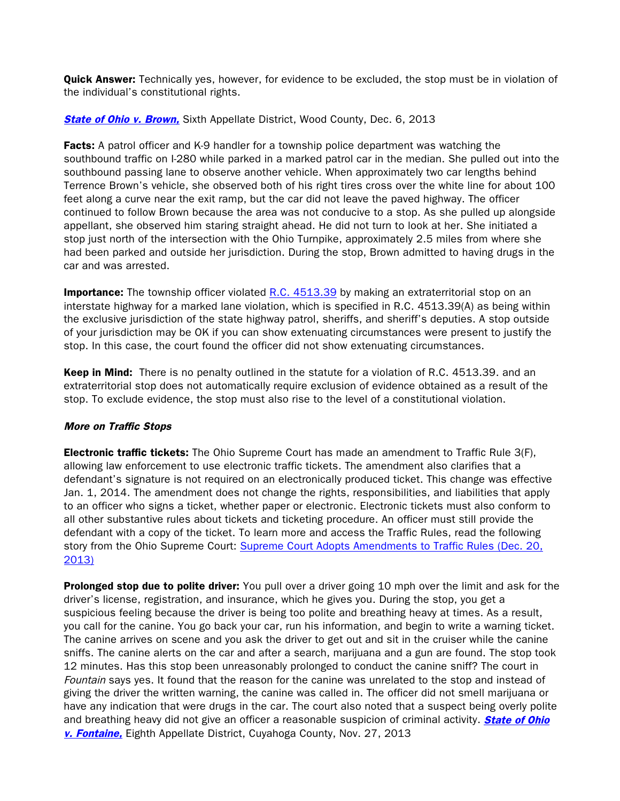**Quick Answer:** Technically yes, however, for evidence to be excluded, the stop must be in violation of the individual's constitutional rights.

### **[State of Ohio v. Brown,](http://www.sconet.state.oh.us/rod/docs/pdf/6/2013/2013-ohio-5351.pdf)** Sixth Appellate District, Wood County, Dec. 6, 2013

**Facts:** A patrol officer and K-9 handler for a township police department was watching the southbound traffic on I-280 while parked in a marked patrol car in the median. She pulled out into the southbound passing lane to observe another vehicle. When approximately two car lengths behind Terrence Brown's vehicle, she observed both of his right tires cross over the white line for about 100 feet along a curve near the exit ramp, but the car did not leave the paved highway. The officer continued to follow Brown because the area was not conducive to a stop. As she pulled up alongside appellant, she observed him staring straight ahead. He did not turn to look at her. She initiated a stop just north of the intersection with the Ohio Turnpike, approximately 2.5 miles from where she had been parked and outside her jurisdiction. During the stop, Brown admitted to having drugs in the car and was arrested.

**Importance:** The township officer violated [R.C. 4513.39](http://codes.ohio.gov/orc/4513.39) by making an extraterritorial stop on an interstate highway for a marked lane violation, which is specified in R.C. 4513.39(A) as being within the exclusive jurisdiction of the state highway patrol, sheriffs, and sheriff's deputies. A stop outside of your jurisdiction may be OK if you can show extenuating circumstances were present to justify the stop. In this case, the court found the officer did not show extenuating circumstances.

Keep in Mind: There is no penalty outlined in the statute for a violation of R.C. 4513.39. and an extraterritorial stop does not automatically require exclusion of evidence obtained as a result of the stop. To exclude evidence, the stop must also rise to the level of a constitutional violation.

### More on Traffic Stops

**Electronic traffic tickets:** The Ohio Supreme Court has made an amendment to Traffic Rule 3(F), allowing law enforcement to use electronic traffic tickets. The amendment also clarifies that a defendant's signature is not required on an electronically produced ticket. This change was effective Jan. 1, 2014. The amendment does not change the rights, responsibilities, and liabilities that apply to an officer who signs a ticket, whether paper or electronic. Electronic tickets must also conform to all other substantive rules about tickets and ticketing procedure. An officer must still provide the defendant with a copy of the ticket. To learn more and access the Traffic Rules, read the following story from the Ohio Supreme Court: [Supreme Court Adopts Amendments to Traffic Rules \(Dec. 20,](http://www.courtnewsohio.gov/happening/2013/trafficRule_122013.asp) [2013\)](http://www.courtnewsohio.gov/happening/2013/trafficRule_122013.asp)

**Prolonged stop due to polite driver:** You pull over a driver going 10 mph over the limit and ask for the driver's license, registration, and insurance, which he gives you. During the stop, you get a suspicious feeling because the driver is being too polite and breathing heavy at times. As a result, you call for the canine. You go back your car, run his information, and begin to write a warning ticket. The canine arrives on scene and you ask the driver to get out and sit in the cruiser while the canine sniffs. The canine alerts on the car and after a search, marijuana and a gun are found. The stop took 12 minutes. Has this stop been unreasonably prolonged to conduct the canine sniff? The court in Fountain says yes. It found that the reason for the canine was unrelated to the stop and instead of giving the driver the written warning, the canine was called in. The officer did not smell marijuana or have any indication that were drugs in the car. The court also noted that a suspect being overly polite and breathing heavy did not give an officer a reasonable suspicion of criminal activity. **State of Ohio** [v. Fontaine,](http://www.sconet.state.oh.us/rod/docs/pdf/8/2013/2013-ohio-5257.pdf) Eighth Appellate District, Cuyahoga County, Nov. 27, 2013